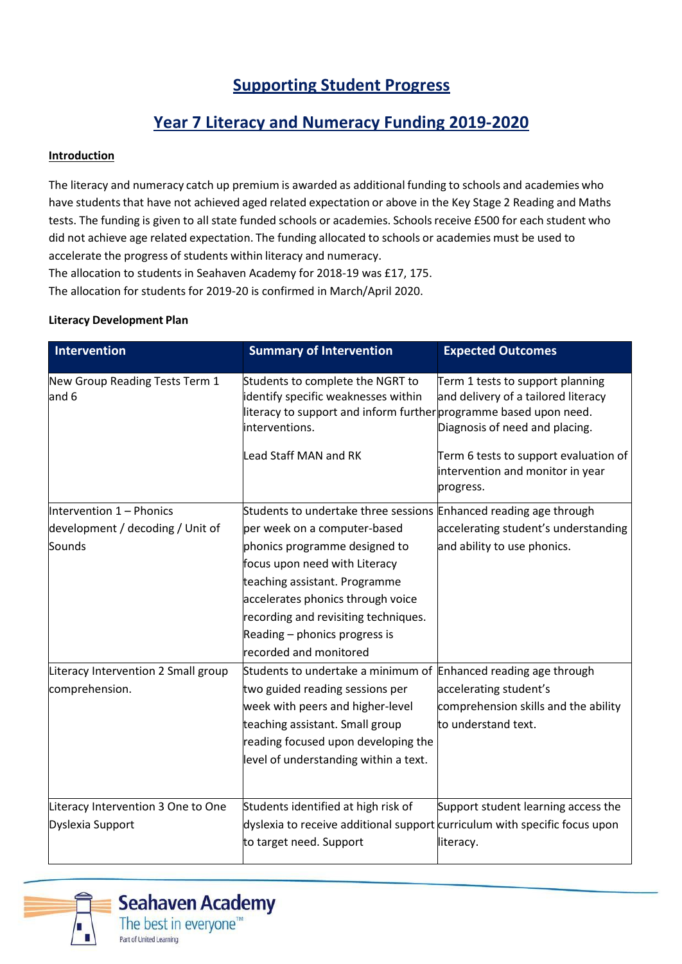# **Supporting Student Progress**

## **Year 7 Literacy and Numeracy Funding 2019‐2020**

#### **Introduction**

The literacy and numeracy catch up premium is awarded as additional funding to schools and academies who have students that have not achieved aged related expectation or above in the Key Stage 2 Reading and Maths tests. The funding is given to all state funded schools or academies. Schools receive £500 for each student who did not achieve age related expectation. The funding allocated to schools or academies must be used to accelerate the progress of students within literacy and numeracy.

The allocation to students in Seahaven Academy for 2018-19 was £17, 175.

The allocation for students for 2019-20 is confirmed in March/April 2020.

#### **Literacy Development Plan**

| Intervention                            | <b>Summary of Intervention</b>                                                                                                                                 | <b>Expected Outcomes</b>                                                                                  |
|-----------------------------------------|----------------------------------------------------------------------------------------------------------------------------------------------------------------|-----------------------------------------------------------------------------------------------------------|
| New Group Reading Tests Term 1<br>and 6 | Students to complete the NGRT to<br>identify specific weaknesses within<br>literacy to support and inform further programme based upon need.<br>interventions. | Term 1 tests to support planning<br>and delivery of a tailored literacy<br>Diagnosis of need and placing. |
|                                         | <b>Lead Staff MAN and RK</b>                                                                                                                                   | Term 6 tests to support evaluation of<br>intervention and monitor in year<br>progress.                    |
| Intervention 1 - Phonics                | Students to undertake three sessions Enhanced reading age through                                                                                              |                                                                                                           |
| development / decoding / Unit of        | per week on a computer-based                                                                                                                                   | accelerating student's understanding                                                                      |
| Sounds                                  | phonics programme designed to                                                                                                                                  | and ability to use phonics.                                                                               |
|                                         | focus upon need with Literacy                                                                                                                                  |                                                                                                           |
|                                         | teaching assistant. Programme                                                                                                                                  |                                                                                                           |
|                                         | accelerates phonics through voice                                                                                                                              |                                                                                                           |
|                                         | recording and revisiting techniques.                                                                                                                           |                                                                                                           |
|                                         | Reading – phonics progress is                                                                                                                                  |                                                                                                           |
|                                         | recorded and monitored                                                                                                                                         |                                                                                                           |
| Literacy Intervention 2 Small group     | Students to undertake a minimum of Enhanced reading age through                                                                                                |                                                                                                           |
| comprehension.                          | two guided reading sessions per                                                                                                                                | accelerating student's                                                                                    |
|                                         | week with peers and higher-level                                                                                                                               | comprehension skills and the ability                                                                      |
|                                         | teaching assistant. Small group                                                                                                                                | to understand text.                                                                                       |
|                                         | reading focused upon developing the                                                                                                                            |                                                                                                           |
|                                         | level of understanding within a text.                                                                                                                          |                                                                                                           |
| Literacy Intervention 3 One to One      | Students identified at high risk of                                                                                                                            | Support student learning access the                                                                       |
| Dyslexia Support                        | dyslexia to receive additional support curriculum with specific focus upon                                                                                     |                                                                                                           |
|                                         | to target need. Support                                                                                                                                        | literacy.                                                                                                 |



**Seahaven Academy** The best in everyone<sup>™</sup>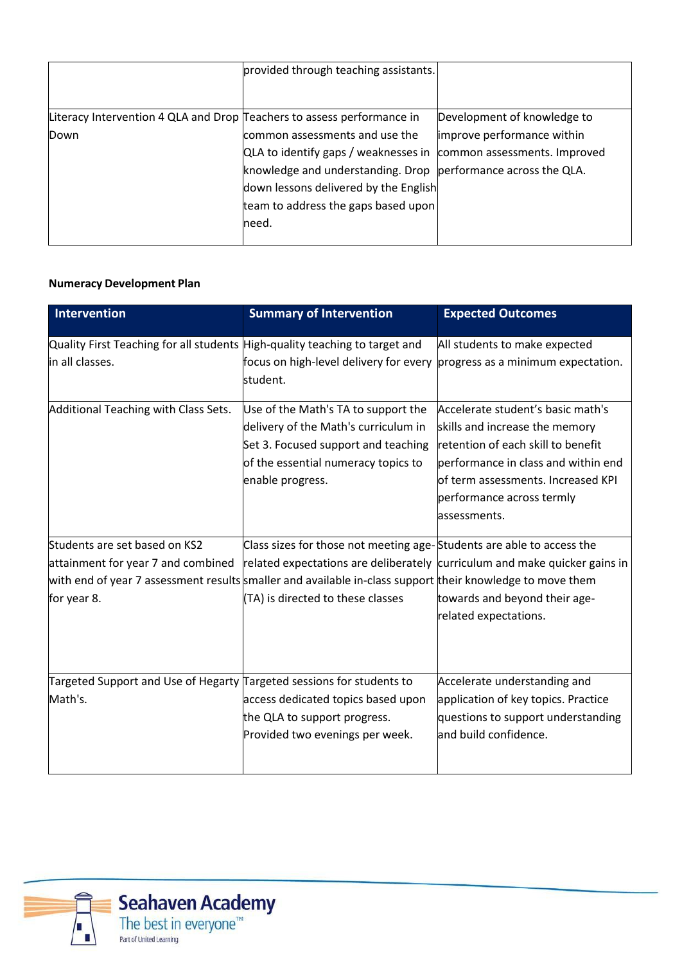|                                                                        | provided through teaching assistants.                             |                             |
|------------------------------------------------------------------------|-------------------------------------------------------------------|-----------------------------|
|                                                                        |                                                                   |                             |
| Literacy Intervention 4 QLA and Drop Teachers to assess performance in |                                                                   | Development of knowledge to |
| Down                                                                   | common assessments and use the                                    | improve performance within  |
|                                                                        | QLA to identify gaps / weaknesses in common assessments. Improved |                             |
|                                                                        | knowledge and understanding. Drop  performance across the QLA.    |                             |
|                                                                        | down lessons delivered by the English                             |                             |
|                                                                        | team to address the gaps based upon                               |                             |
|                                                                        | need.                                                             |                             |
|                                                                        |                                                                   |                             |

### **Numeracy Development Plan**

| <b>Intervention</b>                                                                                       | <b>Summary of Intervention</b>                                                        | <b>Expected Outcomes</b>                                                   |
|-----------------------------------------------------------------------------------------------------------|---------------------------------------------------------------------------------------|----------------------------------------------------------------------------|
| Quality First Teaching for all students High-quality teaching to target and                               |                                                                                       | All students to make expected                                              |
| in all classes.                                                                                           | focus on high-level delivery for every progress as a minimum expectation.<br>student. |                                                                            |
| Additional Teaching with Class Sets.                                                                      | Use of the Math's TA to support the                                                   | Accelerate student's basic math's                                          |
|                                                                                                           | delivery of the Math's curriculum in                                                  | skills and increase the memory                                             |
|                                                                                                           | Set 3. Focused support and teaching                                                   | retention of each skill to benefit                                         |
|                                                                                                           | of the essential numeracy topics to                                                   | performance in class and within end                                        |
|                                                                                                           | enable progress.                                                                      | of term assessments. Increased KPI                                         |
|                                                                                                           |                                                                                       | performance across termly                                                  |
|                                                                                                           |                                                                                       | assessments.                                                               |
| Students are set based on KS2                                                                             | Class sizes for those not meeting age-Students are able to access the                 |                                                                            |
| attainment for year 7 and combined                                                                        |                                                                                       | related expectations are deliberately curriculum and make quicker gains in |
| with end of year 7 assessment results smaller and available in-class support their knowledge to move them |                                                                                       |                                                                            |
| for year 8.                                                                                               | (TA) is directed to these classes                                                     | towards and beyond their age-                                              |
|                                                                                                           |                                                                                       | related expectations.                                                      |
|                                                                                                           |                                                                                       |                                                                            |
| Targeted Support and Use of Hegarty Targeted sessions for students to                                     |                                                                                       | Accelerate understanding and                                               |
| Math's.                                                                                                   | access dedicated topics based upon                                                    | application of key topics. Practice                                        |
|                                                                                                           | the QLA to support progress.                                                          | questions to support understanding                                         |
|                                                                                                           | Provided two evenings per week.                                                       | and build confidence.                                                      |
|                                                                                                           |                                                                                       |                                                                            |